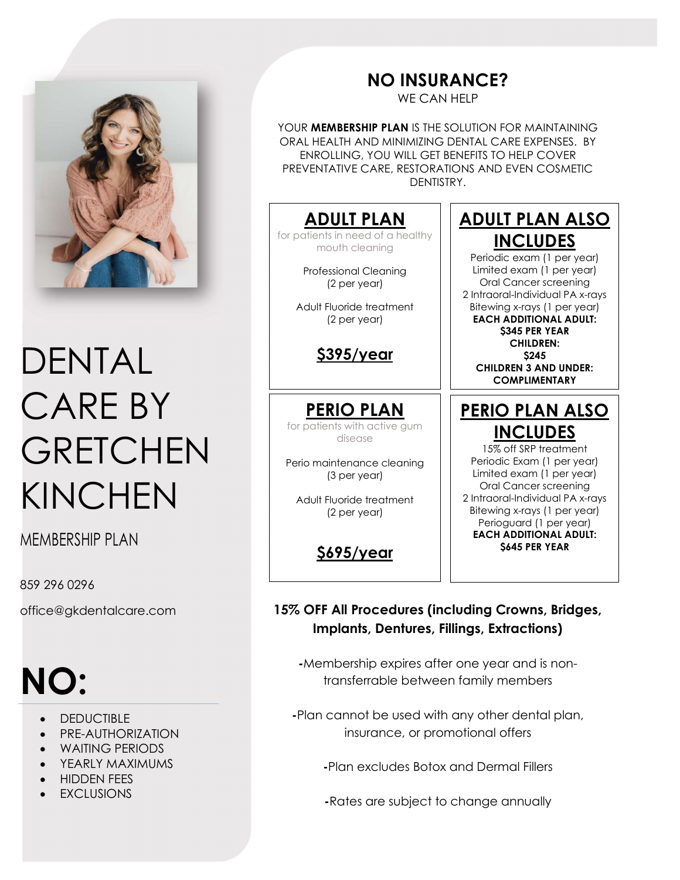

# DENTAL CARE BY **GRETCHEN** KINCHEN

MEMBERSHIP PI AN

859 296 0296

office@gkdentalcare.com

# NO:

- DEDUCTIBLE
- PRE-AUTHORIZATION
- WAITING PERIODS
- YEARLY MAXIMUMS
- HIDDEN FEES
- EXCLUSIONS

## NO INSURANCE?

WE CAN HELP

YOUR **MEMBERSHIP PLAN** IS THE SOLUTION FOR MAINTAINING ORAL HEALTH AND MINIMIZING DENTAL CARE EXPENSES. BY ENROLLING, YOU WILL GET BENEFITS TO HELP COVER PREVENTATIVE CARE, RESTORATIONS AND EVEN COSMETIC DENTISTRY.

#### ADULT PLAN

for patients in need of a healthy mouth cleaning

> Professional Cleaning (2 per year)

Adult Fluoride treatment (2 per year)

#### \$395/year

PERIO PLAN for patients with active gum

disease

Perio maintenance cleaning (3 per year)

Adult Fluoride treatment (2 per year)

\$695/year

### ADULT PLAN ALSO INCLUDES

Periodic exam (1 per year) Limited exam (1 per year) Oral Cancer screening 2 Intraoral-Individual PA x-rays Bitewing x-rays (1 per year) EACH ADDITIONAL ADULT: **S345 PER YEAR** CHILDREN: \$245 CHILDREN 3 AND UNDER: **COMPLIMENTARY** 

### PERIO PLAN ALSO INCLUDES

15% off SRP treatment Periodic Exam (1 per year) Limited exam (1 per year) Oral Cancer screening 2 Intraoral-Individual PA x-rays Bitewing x-rays (1 per year) Perioguard (1 per year) EACH ADDITIONAL ADULT: **S645 PER YEAR** 

15% OFF All Procedures (including Crowns, Bridges, Implants, Dentures, Fillings, Extractions)

-Membership expires after one year and is nontransferrable between family members

-Plan cannot be used with any other dental plan, insurance, or promotional offers

-Plan excludes Botox and Dermal Fillers

-Rates are subject to change annually